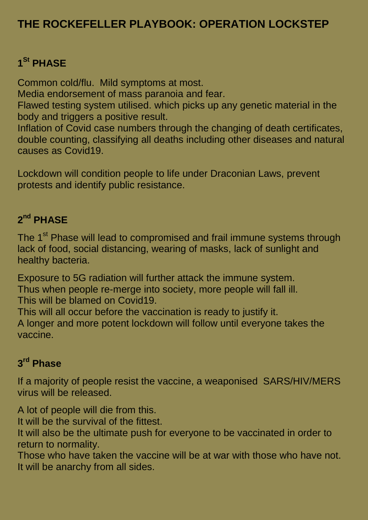# **THE ROCKEFELLER PLAYBOOK: OPERATION LOCKSTEP**

# **1 St PHASE**

Common cold/flu. Mild symptoms at most.

Media endorsement of mass paranoia and fear.

Flawed testing system utilised. which picks up any genetic material in the body and triggers a positive result.

Inflation of Covid case numbers through the changing of death certificates, double counting, classifying all deaths including other diseases and natural causes as Covid19.

Lockdown will condition people to life under Draconian Laws, prevent protests and identify public resistance.

#### **2 nd PHASE**

The 1<sup>st</sup> Phase will lead to compromised and frail immune systems through lack of food, social distancing, wearing of masks, lack of sunlight and healthy bacteria.

Exposure to 5G radiation will further attack the immune system. Thus when people re-merge into society, more people will fall ill. This will be blamed on Covid19.

This will all occur before the vaccination is ready to justify it. A longer and more potent lockdown will follow until everyone takes the vaccine.

#### **3 rd Phase**

If a majority of people resist the vaccine, a weaponised SARS/HIV/MERS virus will be released.

A lot of people will die from this.

It will be the survival of the fittest.

It will also be the ultimate push for everyone to be vaccinated in order to return to normality.

Those who have taken the vaccine will be at war with those who have not. It will be anarchy from all sides.